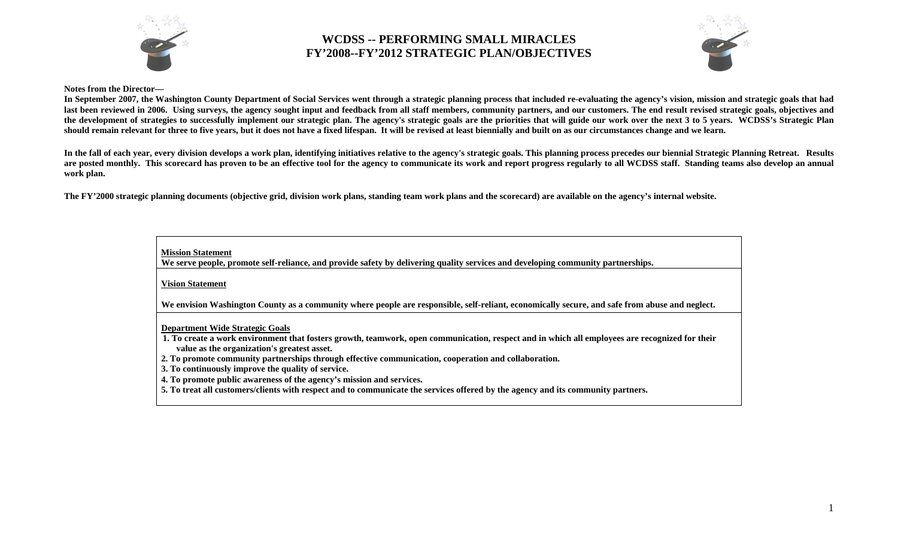



#### **Notes from the Director—**

In September 2007, the Washington County Department of Social Services went through a strategic planning process that included re-evaluating the agency's vision, mission and strategic goals that had last been reviewed in 2006. Using surveys, the agency sought input and feedback from all staff members, community partners, and our customers. The end result revised strategic goals, objectives and **the development of strategies to successfully implement our strategic plan. The agency's strategic goals are the priorities that will guide our work over the next 3 to 5 years. WCDSS's Strategic Plan should remain relevant for three to five years, but it does not have a fixed lifespan. It will be revised at least biennially and built on as our circumstances change and we learn.** 

**In the fall of each year, every division develops a work plan, identifying initiatives relative to the agency's strategic goals. This planning process precedes our biennial Strategic Planning Retreat. Results**  are posted monthly. This scorecard has proven to be an effective tool for the agency to communicate its work and report progress regularly to all WCDSS staff. Standing teams also develop an annual **work plan.** 

**The FY'2000 strategic planning documents (objective grid, division work plans, standing team work plans and the scorecard) are available on the agency's internal website.** 

**Mission Statement**

**We serve people, promote self-reliance, and provide safety by delivering quality services and developing community partnerships.**

**Vision Statement**

We envision Washington County as a community where people are responsible, self-reliant, economically secure, and safe from abuse and neglect.

**Department Wide Strategic Goals**

- **1. To create a work environment that fosters growth, teamwork, open communication, respect and in which all employees are recognized for their value as the organization's greatest asset.**
- **2. To promote community partnerships through effective communication, cooperation and collaboration.**
- **3. To continuously improve the quality of service.**
- **4. To promote public awareness of the agency's mission and services.**
- **5. To treat all customers/clients with respect and to communicate the services offered by the agency and its community partners.**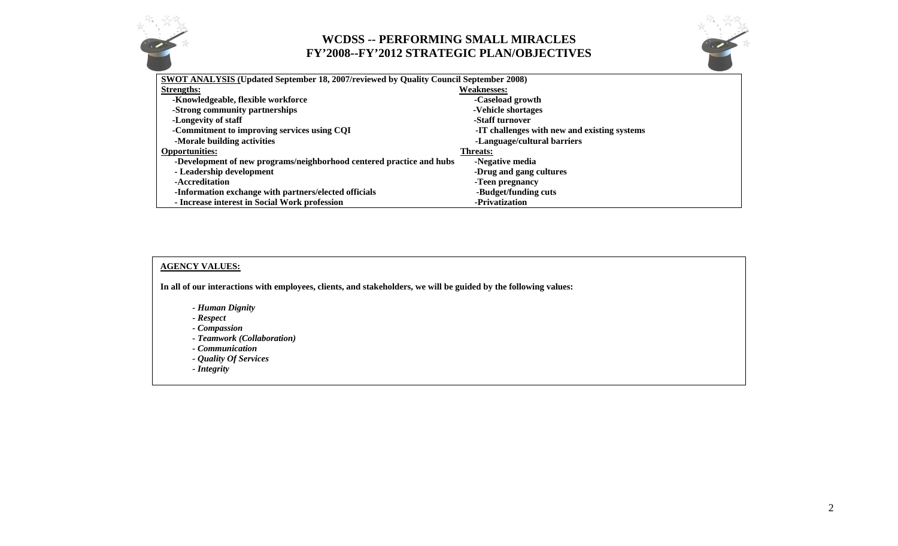



| SWOT ANALYSIS (Updated September 18, 2007/reviewed by Quality Council September 2008) |                                              |  |  |
|---------------------------------------------------------------------------------------|----------------------------------------------|--|--|
| <b>Strengths:</b>                                                                     | <b>Weaknesses:</b>                           |  |  |
| -Knowledgeable, flexible workforce                                                    | -Caseload growth                             |  |  |
| -Strong community partnerships                                                        | -Vehicle shortages                           |  |  |
| -Longevity of staff                                                                   | -Staff turnover                              |  |  |
| -Commitment to improving services using CQI                                           | -IT challenges with new and existing systems |  |  |
| -Morale building activities                                                           | -Language/cultural barriers                  |  |  |
| <b>Opportunities:</b>                                                                 | <b>Threats:</b>                              |  |  |
| -Development of new programs/neighborhood centered practice and hubs                  | -Negative media                              |  |  |
| - Leadership development                                                              | -Drug and gang cultures                      |  |  |
| -Accreditation                                                                        | -Teen pregnancy                              |  |  |
| -Information exchange with partners/elected officials                                 | -Budget/funding cuts                         |  |  |
| - Increase interest in Social Work profession                                         | -Privatization                               |  |  |

#### **AGENCY VALUES:**

**In all of our interactions with employees, clients, and stakeholders, we will be guided by the following values:** 

- *Human Dignity*
- *Respect*
- *Compassion*
- *Teamwork (Collaboration)*
- *Communication*
- *Quality Of Services*
- *Integrity*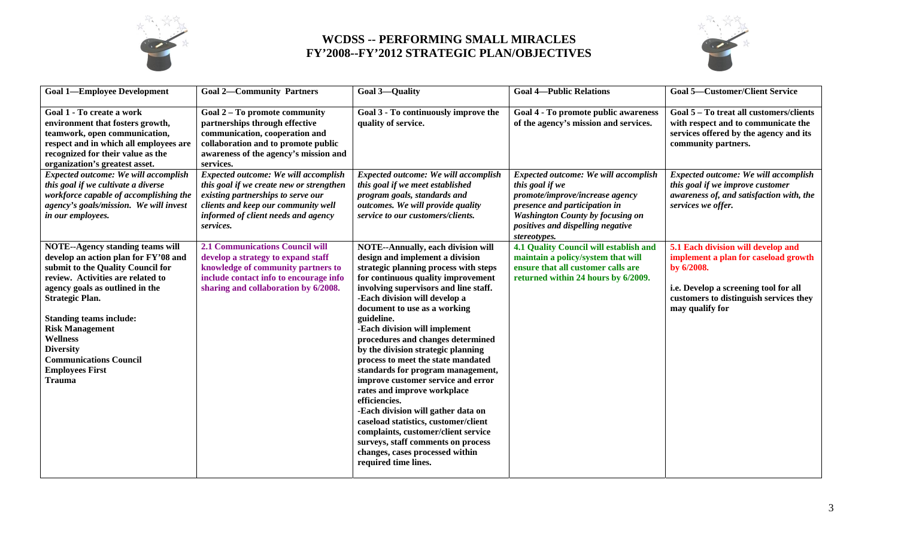



| <b>Goal 1-Employee Development</b>                                                                                                                                                                                                                                                                                                                                                                    | <b>Goal 2-Community Partners</b>                                                                                                                                                                                  | <b>Goal 3-Quality</b>                                                                                                                                                                                                                                                                                                                                                                                                                                                                                                                                                                                                                                                                                                                                                                  | <b>Goal 4-Public Relations</b>                                                                                                                                                                                              | <b>Goal 5-Customer/Client Service</b>                                                                                                                                                          |
|-------------------------------------------------------------------------------------------------------------------------------------------------------------------------------------------------------------------------------------------------------------------------------------------------------------------------------------------------------------------------------------------------------|-------------------------------------------------------------------------------------------------------------------------------------------------------------------------------------------------------------------|----------------------------------------------------------------------------------------------------------------------------------------------------------------------------------------------------------------------------------------------------------------------------------------------------------------------------------------------------------------------------------------------------------------------------------------------------------------------------------------------------------------------------------------------------------------------------------------------------------------------------------------------------------------------------------------------------------------------------------------------------------------------------------------|-----------------------------------------------------------------------------------------------------------------------------------------------------------------------------------------------------------------------------|------------------------------------------------------------------------------------------------------------------------------------------------------------------------------------------------|
| Goal 1 - To create a work<br>environment that fosters growth,<br>teamwork, open communication,<br>respect and in which all employees are<br>recognized for their value as the<br>organization's greatest asset.                                                                                                                                                                                       | Goal 2 - To promote community<br>partnerships through effective<br>communication, cooperation and<br>collaboration and to promote public<br>awareness of the agency's mission and<br>services.                    | Goal 3 - To continuously improve the<br>quality of service.                                                                                                                                                                                                                                                                                                                                                                                                                                                                                                                                                                                                                                                                                                                            | Goal 4 - To promote public awareness<br>of the agency's mission and services.                                                                                                                                               | Goal 5 - To treat all customers/clients<br>with respect and to communicate the<br>services offered by the agency and its<br>community partners.                                                |
| Expected outcome: We will accomplish<br>this goal if we cultivate a diverse<br>workforce capable of accomplishing the<br>agency's goals/mission. We will invest<br>in our employees.                                                                                                                                                                                                                  | Expected outcome: We will accomplish<br>this goal if we create new or strengthen<br>existing partnerships to serve our<br>clients and keep our community well<br>informed of client needs and agency<br>services. | <b>Expected outcome: We will accomplish</b><br>this goal if we meet established<br>program goals, standards and<br>outcomes. We will provide quality<br>service to our customers/clients.                                                                                                                                                                                                                                                                                                                                                                                                                                                                                                                                                                                              | Expected outcome: We will accomplish<br>this goal if we<br>promote/improve/increase agency<br>presence and participation in<br><b>Washington County by focusing on</b><br>positives and dispelling negative<br>stereotypes. | Expected outcome: We will accomplish<br>this goal if we improve customer<br>awareness of, and satisfaction with, the<br>services we offer.                                                     |
| <b>NOTE--Agency standing teams will</b><br>develop an action plan for FY'08 and<br>submit to the Quality Council for<br>review. Activities are related to<br>agency goals as outlined in the<br><b>Strategic Plan.</b><br><b>Standing teams include:</b><br><b>Risk Management</b><br><b>Wellness</b><br><b>Diversity</b><br><b>Communications Council</b><br><b>Employees First</b><br><b>Trauma</b> | <b>2.1 Communications Council will</b><br>develop a strategy to expand staff<br>knowledge of community partners to<br>include contact info to encourage info<br>sharing and collaboration by 6/2008.              | <b>NOTE--Annually, each division will</b><br>design and implement a division<br>strategic planning process with steps<br>for continuous quality improvement<br>involving supervisors and line staff.<br>-Each division will develop a<br>document to use as a working<br>guideline.<br>-Each division will implement<br>procedures and changes determined<br>by the division strategic planning<br>process to meet the state mandated<br>standards for program management,<br>improve customer service and error<br>rates and improve workplace<br>efficiencies.<br>-Each division will gather data on<br>caseload statistics, customer/client<br>complaints, customer/client service<br>surveys, staff comments on process<br>changes, cases processed within<br>required time lines. | 4.1 Quality Council will establish and<br>maintain a policy/system that will<br>ensure that all customer calls are<br>returned within 24 hours by 6/2009.                                                                   | 5.1 Each division will develop and<br>implement a plan for caseload growth<br>by 6/2008.<br>i.e. Develop a screening tool for all<br>customers to distinguish services they<br>may qualify for |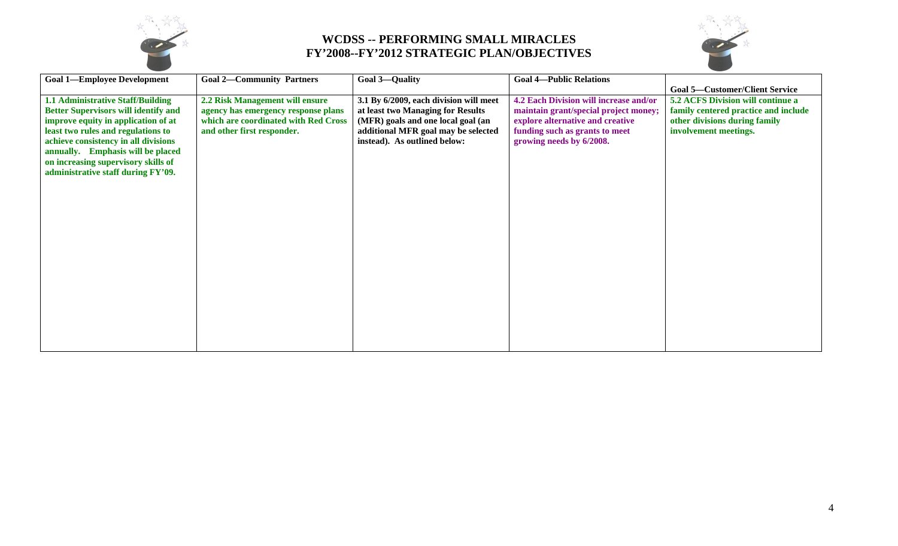



| <b>Goal 1-Employee Development</b>          | <b>Goal 2-Community Partners</b>     | <b>Goal 3-Quality</b>                  | <b>Goal 4-Public Relations</b>         |                                          |
|---------------------------------------------|--------------------------------------|----------------------------------------|----------------------------------------|------------------------------------------|
|                                             |                                      |                                        |                                        | <b>Goal 5-Customer/Client Service</b>    |
| <b>1.1 Administrative Staff/Building</b>    | 2.2 Risk Management will ensure      | 3.1 By 6/2009, each division will meet | 4.2 Each Division will increase and/or | <b>5.2 ACFS Division will continue a</b> |
| <b>Better Supervisors will identify and</b> | agency has emergency response plans  | at least two Managing for Results      | maintain grant/special project money;  | family centered practice and include     |
| improve equity in application of at         | which are coordinated with Red Cross | (MFR) goals and one local goal (an     | explore alternative and creative       | other divisions during family            |
| least two rules and regulations to          | and other first responder.           | additional MFR goal may be selected    | funding such as grants to meet         | involvement meetings.                    |
| achieve consistency in all divisions        |                                      | instead). As outlined below:           | growing needs by 6/2008.               |                                          |
| annually. Emphasis will be placed           |                                      |                                        |                                        |                                          |
| on increasing supervisory skills of         |                                      |                                        |                                        |                                          |
| administrative staff during FY'09.          |                                      |                                        |                                        |                                          |
|                                             |                                      |                                        |                                        |                                          |
|                                             |                                      |                                        |                                        |                                          |
|                                             |                                      |                                        |                                        |                                          |
|                                             |                                      |                                        |                                        |                                          |
|                                             |                                      |                                        |                                        |                                          |
|                                             |                                      |                                        |                                        |                                          |
|                                             |                                      |                                        |                                        |                                          |
|                                             |                                      |                                        |                                        |                                          |
|                                             |                                      |                                        |                                        |                                          |
|                                             |                                      |                                        |                                        |                                          |
|                                             |                                      |                                        |                                        |                                          |
|                                             |                                      |                                        |                                        |                                          |
|                                             |                                      |                                        |                                        |                                          |
|                                             |                                      |                                        |                                        |                                          |
|                                             |                                      |                                        |                                        |                                          |
|                                             |                                      |                                        |                                        |                                          |
|                                             |                                      |                                        |                                        |                                          |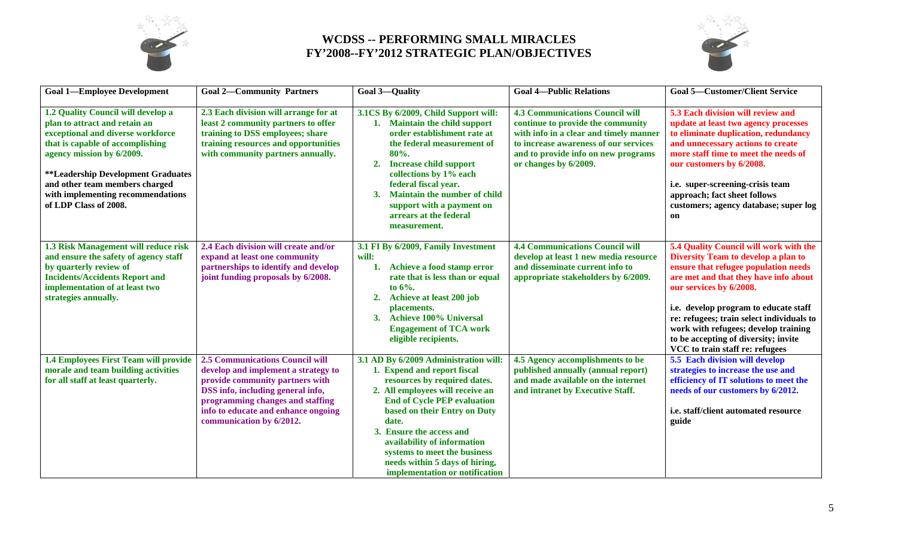



| <b>Goal 1-Employee Development</b>                                                                                                                                                                                                                                                                                            | <b>Goal 2-Community Partners</b>                                                                                                                                                                                                                             | <b>Goal 3-Quality</b>                                                                                                                                                                                                                                                                                                                                                                  | <b>Goal 4-Public Relations</b>                                                                                                                                                                                                 | <b>Goal 5-Customer/Client Service</b>                                                                                                                                                                                                                                                                                                                                                              |
|-------------------------------------------------------------------------------------------------------------------------------------------------------------------------------------------------------------------------------------------------------------------------------------------------------------------------------|--------------------------------------------------------------------------------------------------------------------------------------------------------------------------------------------------------------------------------------------------------------|----------------------------------------------------------------------------------------------------------------------------------------------------------------------------------------------------------------------------------------------------------------------------------------------------------------------------------------------------------------------------------------|--------------------------------------------------------------------------------------------------------------------------------------------------------------------------------------------------------------------------------|----------------------------------------------------------------------------------------------------------------------------------------------------------------------------------------------------------------------------------------------------------------------------------------------------------------------------------------------------------------------------------------------------|
| 1.2 Quality Council will develop a<br>plan to attract and retain an<br>exceptional and diverse workforce<br>that is capable of accomplishing<br>agency mission by 6/2009.<br><i><b>**Leadership Development Graduates</b></i><br>and other team members charged<br>with implementing recommendations<br>of LDP Class of 2008. | 2.3 Each division will arrange for at<br>least 2 community partners to offer<br>training to DSS employees; share<br>training resources and opportunities<br>with community partners annually.                                                                | 3.1CS By 6/2009, Child Support will:<br><b>Maintain the child support</b><br>order establishment rate at<br>the federal measurement of<br>80%.<br><b>Increase child support</b><br>2.<br>collections by 1% each<br>federal fiscal year.<br>Maintain the number of child<br>3.<br>support with a payment on<br>arrears at the federal<br>measurement.                                   | <b>4.3 Communications Council will</b><br>continue to provide the community<br>with info in a clear and timely manner<br>to increase awareness of our services<br>and to provide info on new programs<br>or changes by 6/2009. | 5.3 Each division will review and<br>update at least two agency processes<br>to eliminate duplication, redundancy<br>and unnecessary actions to create<br>more staff time to meet the needs of<br>our customers by 6/2008.<br>i.e. super-screening-crisis team<br>approach; fact sheet follows<br>customers; agency database; super log<br><b>on</b>                                               |
| 1.3 Risk Management will reduce risk<br>and ensure the safety of agency staff<br>by quarterly review of<br><b>Incidents/Accidents Report and</b><br>implementation of at least two<br>strategies annually.                                                                                                                    | 2.4 Each division will create and/or<br>expand at least one community<br>partnerships to identify and develop<br>joint funding proposals by 6/2008.                                                                                                          | 3.1 FI By 6/2009, Family Investment<br>will:<br>1. Achieve a food stamp error<br>rate that is less than or equal<br>to $6\%$ .<br>2. Achieve at least 200 job<br>placements.<br><b>Achieve 100% Universal</b><br>3.<br><b>Engagement of TCA work</b><br>eligible recipients.                                                                                                           | <b>4.4 Communications Council will</b><br>develop at least 1 new media resource<br>and disseminate current info to<br>appropriate stakeholders by 6/2009.                                                                      | 5.4 Quality Council will work with the<br>Diversity Team to develop a plan to<br>ensure that refugee population needs<br>are met and that they have info about<br>our services by 6/2008.<br>i.e. develop program to educate staff<br>re: refugees; train select individuals to<br>work with refugees; develop training<br>to be accepting of diversity; invite<br>VCC to train staff re: refugees |
| 1.4 Employees First Team will provide<br>morale and team building activities<br>for all staff at least quarterly.                                                                                                                                                                                                             | <b>2.5 Communications Council will</b><br>develop and implement a strategy to<br>provide community partners with<br>DSS info, including general info,<br>programming changes and staffing<br>info to educate and enhance ongoing<br>communication by 6/2012. | 3.1 AD By 6/2009 Administration will:<br>1. Expend and report fiscal<br>resources by required dates.<br>2. All employees will receive an<br><b>End of Cycle PEP evaluation</b><br>based on their Entry on Duty<br>date.<br>3. Ensure the access and<br>availability of information<br>systems to meet the business<br>needs within 5 days of hiring,<br>implementation or notification | 4.5 Agency accomplishments to be<br>published annually (annual report)<br>and made available on the internet<br>and intranet by Executive Staff.                                                                               | 5.5 Each division will develop<br>strategies to increase the use and<br>efficiency of IT solutions to meet the<br>needs of our customers by 6/2012.<br>i.e. staff/client automated resource<br>guide                                                                                                                                                                                               |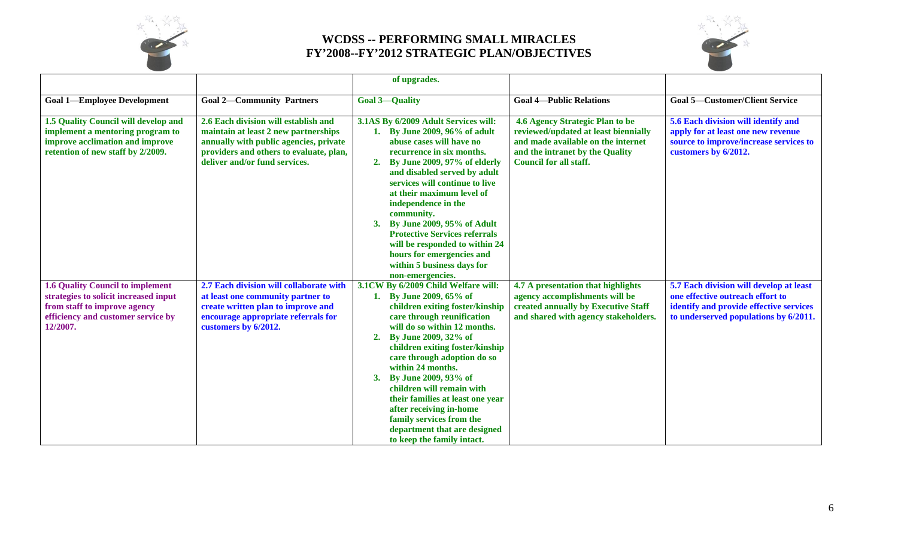



|                                                                                                                                                                    |                                                                                                                                                                                                    | of upgrades.                                                                                                                                                                                                                                                                                                                                                                                                                                                                                             |                                                                                                                                                                                   |                                                                                                                                                                 |
|--------------------------------------------------------------------------------------------------------------------------------------------------------------------|----------------------------------------------------------------------------------------------------------------------------------------------------------------------------------------------------|----------------------------------------------------------------------------------------------------------------------------------------------------------------------------------------------------------------------------------------------------------------------------------------------------------------------------------------------------------------------------------------------------------------------------------------------------------------------------------------------------------|-----------------------------------------------------------------------------------------------------------------------------------------------------------------------------------|-----------------------------------------------------------------------------------------------------------------------------------------------------------------|
| <b>Goal 1-Employee Development</b>                                                                                                                                 | <b>Goal 2-Community Partners</b>                                                                                                                                                                   | <b>Goal 3-Quality</b>                                                                                                                                                                                                                                                                                                                                                                                                                                                                                    | <b>Goal 4-Public Relations</b>                                                                                                                                                    | <b>Goal 5-Customer/Client Service</b>                                                                                                                           |
| 1.5 Quality Council will develop and<br>implement a mentoring program to<br>improve acclimation and improve<br>retention of new staff by 2/2009.                   | 2.6 Each division will establish and<br>maintain at least 2 new partnerships<br>annually with public agencies, private<br>providers and others to evaluate, plan,<br>deliver and/or fund services. | 3.1AS By 6/2009 Adult Services will:<br>1. By June 2009, 96% of adult<br>abuse cases will have no<br>recurrence in six months.<br>By June 2009, 97% of elderly<br>2.<br>and disabled served by adult<br>services will continue to live<br>at their maximum level of<br>independence in the<br>community.<br>By June 2009, 95% of Adult<br>3.<br><b>Protective Services referrals</b><br>will be responded to within 24<br>hours for emergencies and<br>within 5 business days for<br>non-emergencies.    | 4.6 Agency Strategic Plan to be<br>reviewed/updated at least biennially<br>and made available on the internet<br>and the intranet by the Quality<br><b>Council for all staff.</b> | 5.6 Each division will identify and<br>apply for at least one new revenue<br>source to improve/increase services to<br>customers by 6/2012.                     |
| <b>1.6 Quality Council to implement</b><br>strategies to solicit increased input<br>from staff to improve agency<br>efficiency and customer service by<br>12/2007. | 2.7 Each division will collaborate with<br>at least one community partner to<br>create written plan to improve and<br>encourage appropriate referrals for<br>customers by 6/2012.                  | 3.1CW By 6/2009 Child Welfare will:<br>1. By June 2009, 65% of<br>children exiting foster/kinship<br>care through reunification<br>will do so within 12 months.<br>By June 2009, 32% of<br>2.<br>children exiting foster/kinship<br>care through adoption do so<br>within 24 months.<br>By June 2009, 93% of<br>3.<br>children will remain with<br>their families at least one year<br>after receiving in-home<br>family services from the<br>department that are designed<br>to keep the family intact. | 4.7 A presentation that highlights<br>agency accomplishments will be<br>created annually by Executive Staff<br>and shared with agency stakeholders.                               | 5.7 Each division will develop at least<br>one effective outreach effort to<br>identify and provide effective services<br>to underserved populations by 6/2011. |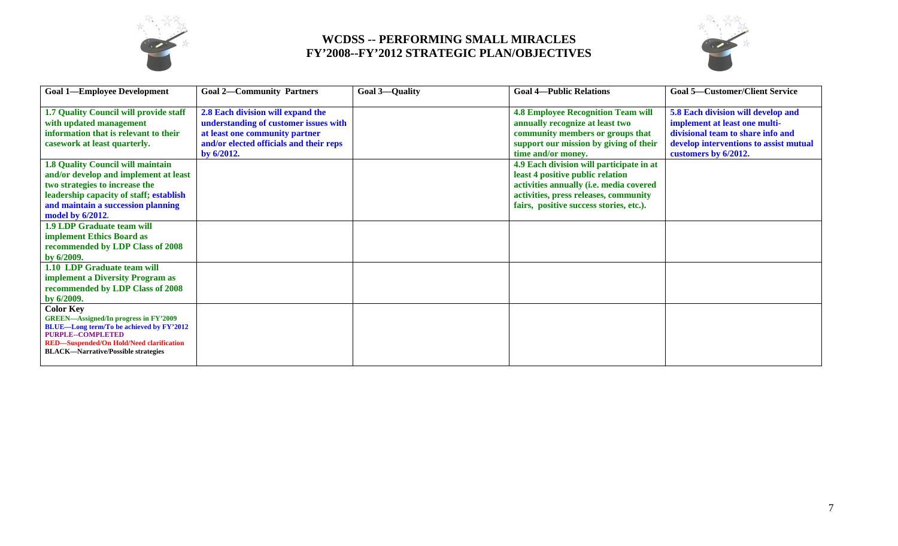



| <b>Goal 1-Employee Development</b>                                                                                                                                                                                                                                                                                                                 | <b>Goal 2-Community Partners</b>                                                                                                                                         | <b>Goal 3-Quality</b> | <b>Goal 4-Public Relations</b>                                                                                                                                                                                                                                                                                                                                                                  | <b>Goal 5-Customer/Client Service</b>                                                                                                                                      |
|----------------------------------------------------------------------------------------------------------------------------------------------------------------------------------------------------------------------------------------------------------------------------------------------------------------------------------------------------|--------------------------------------------------------------------------------------------------------------------------------------------------------------------------|-----------------------|-------------------------------------------------------------------------------------------------------------------------------------------------------------------------------------------------------------------------------------------------------------------------------------------------------------------------------------------------------------------------------------------------|----------------------------------------------------------------------------------------------------------------------------------------------------------------------------|
| 1.7 Quality Council will provide staff<br>with updated management<br>information that is relevant to their<br>casework at least quarterly.<br><b>1.8 Quality Council will maintain</b><br>and/or develop and implement at least<br>two strategies to increase the<br>leadership capacity of staff; establish<br>and maintain a succession planning | 2.8 Each division will expand the<br>understanding of customer issues with<br>at least one community partner<br>and/or elected officials and their reps<br>by $6/2012$ . |                       | <b>4.8 Employee Recognition Team will</b><br>annually recognize at least two<br>community members or groups that<br>support our mission by giving of their<br>time and/or money.<br>4.9 Each division will participate in at<br>least 4 positive public relation<br>activities annually (i.e. media covered<br>activities, press releases, community<br>fairs, positive success stories, etc.). | 5.8 Each division will develop and<br>implement at least one multi-<br>divisional team to share info and<br>develop interventions to assist mutual<br>customers by 6/2012. |
| model by 6/2012.                                                                                                                                                                                                                                                                                                                                   |                                                                                                                                                                          |                       |                                                                                                                                                                                                                                                                                                                                                                                                 |                                                                                                                                                                            |
| <b>1.9 LDP Graduate team will</b><br>implement Ethics Board as<br>recommended by LDP Class of 2008<br>by 6/2009.                                                                                                                                                                                                                                   |                                                                                                                                                                          |                       |                                                                                                                                                                                                                                                                                                                                                                                                 |                                                                                                                                                                            |
| 1.10 LDP Graduate team will<br><b>implement a Diversity Program as</b><br>recommended by LDP Class of 2008<br>by 6/2009.                                                                                                                                                                                                                           |                                                                                                                                                                          |                       |                                                                                                                                                                                                                                                                                                                                                                                                 |                                                                                                                                                                            |
| <b>Color Key</b><br><b>GREEN-Assigned/In progress in FY'2009</b><br><b>BLUE—Long term/To be achieved by FY'2012</b><br><b>PURPLE--COMPLETED</b><br><b>RED-Suspended/On Hold/Need clarification</b><br><b>BLACK—Narrative/Possible strategies</b>                                                                                                   |                                                                                                                                                                          |                       |                                                                                                                                                                                                                                                                                                                                                                                                 |                                                                                                                                                                            |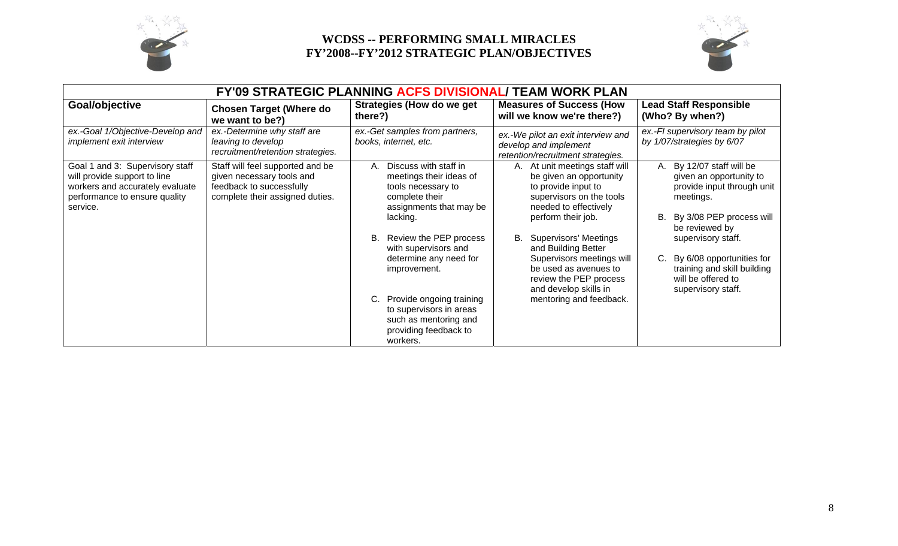



| <b>FY'09 STRATEGIC PLANNING ACFS DIVISIONAL/ TEAM WORK PLAN</b>                                                                                 |                                                                                                                              |                                                                                                                                                                       |                                                                                                                                                                                                   |                                                                                                                                                                              |  |
|-------------------------------------------------------------------------------------------------------------------------------------------------|------------------------------------------------------------------------------------------------------------------------------|-----------------------------------------------------------------------------------------------------------------------------------------------------------------------|---------------------------------------------------------------------------------------------------------------------------------------------------------------------------------------------------|------------------------------------------------------------------------------------------------------------------------------------------------------------------------------|--|
| Goal/objective                                                                                                                                  | <b>Chosen Target (Where do</b><br>we want to be?)                                                                            | Strategies (How do we get<br>there?)                                                                                                                                  | <b>Measures of Success (How</b><br>will we know we're there?)                                                                                                                                     | <b>Lead Staff Responsible</b><br>(Who? By when?)                                                                                                                             |  |
| ex.-Goal 1/Objective-Develop and<br><i>implement exit interview</i>                                                                             | ex.-Determine why staff are<br>leaving to develop<br>recruitment/retention strategies.                                       | ex.-Get samples from partners,<br>books, internet, etc.                                                                                                               | ex.-We pilot an exit interview and<br>develop and implement<br>retention/recruitment strategies.                                                                                                  | ex.-FI supervisory team by pilot<br>by 1/07/strategies by 6/07                                                                                                               |  |
| Goal 1 and 3: Supervisory staff<br>will provide support to line<br>workers and accurately evaluate<br>performance to ensure quality<br>service. | Staff will feel supported and be<br>given necessary tools and<br>feedback to successfully<br>complete their assigned duties. | Discuss with staff in<br>А.<br>meetings their ideas of<br>tools necessary to<br>complete their<br>assignments that may be<br>lacking.<br>Review the PEP process<br>В. | A. At unit meetings staff will<br>be given an opportunity<br>to provide input to<br>supervisors on the tools<br>needed to effectively<br>perform their job.<br><b>Supervisors' Meetings</b><br>В. | By 12/07 staff will be<br>А.<br>given an opportunity to<br>provide input through unit<br>meetings.<br>By 3/08 PEP process will<br>В.<br>be reviewed by<br>supervisory staff. |  |
|                                                                                                                                                 |                                                                                                                              | with supervisors and<br>determine any need for<br>improvement.                                                                                                        | and Building Better<br>Supervisors meetings will<br>be used as avenues to<br>review the PEP process<br>and develop skills in                                                                      | By 6/08 opportunities for<br>C.<br>training and skill building<br>will be offered to<br>supervisory staff.                                                                   |  |
|                                                                                                                                                 |                                                                                                                              | Provide ongoing training<br>to supervisors in areas<br>such as mentoring and<br>providing feedback to<br>workers.                                                     | mentoring and feedback.                                                                                                                                                                           |                                                                                                                                                                              |  |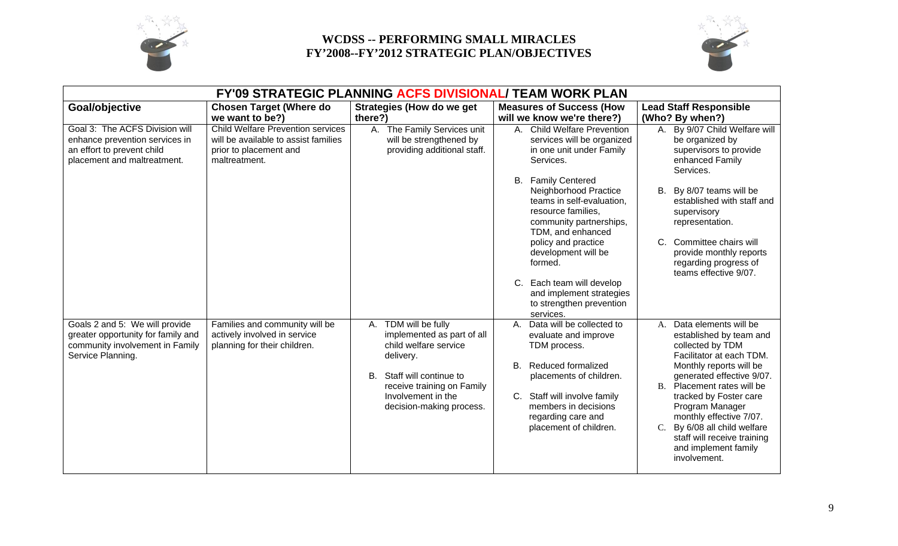



| <b>FY'09 STRATEGIC PLANNING ACFS DIVISIONAL/ TEAM WORK PLAN</b>                                                               |                                                                                                                             |                                                                                                                                                                                                          |                                                                                                                                                                                                                                                                                                                                                                               |                                                                                                                                                                                                                                                                                                                                                                                          |  |
|-------------------------------------------------------------------------------------------------------------------------------|-----------------------------------------------------------------------------------------------------------------------------|----------------------------------------------------------------------------------------------------------------------------------------------------------------------------------------------------------|-------------------------------------------------------------------------------------------------------------------------------------------------------------------------------------------------------------------------------------------------------------------------------------------------------------------------------------------------------------------------------|------------------------------------------------------------------------------------------------------------------------------------------------------------------------------------------------------------------------------------------------------------------------------------------------------------------------------------------------------------------------------------------|--|
| Goal/objective                                                                                                                | <b>Chosen Target (Where do</b><br>we want to be?)                                                                           | <b>Strategies (How do we get</b><br>there?)                                                                                                                                                              | <b>Measures of Success (How</b><br>will we know we're there?)                                                                                                                                                                                                                                                                                                                 | <b>Lead Staff Responsible</b><br>(Who? By when?)                                                                                                                                                                                                                                                                                                                                         |  |
| Goal 3: The ACFS Division will<br>enhance prevention services in<br>an effort to prevent child<br>placement and maltreatment. | <b>Child Welfare Prevention services</b><br>will be available to assist families<br>prior to placement and<br>maltreatment. | A. The Family Services unit<br>will be strengthened by<br>providing additional staff.                                                                                                                    | A. Child Welfare Prevention<br>services will be organized<br>in one unit under Family<br>Services.<br><b>B.</b> Family Centered<br>Neighborhood Practice<br>teams in self-evaluation,<br>resource families,<br>community partnerships,<br>TDM, and enhanced<br>policy and practice<br>development will be<br>formed.<br>C. Each team will develop<br>and implement strategies | A. By 9/07 Child Welfare will<br>be organized by<br>supervisors to provide<br>enhanced Family<br>Services.<br>By 8/07 teams will be<br>В.<br>established with staff and<br>supervisory<br>representation.<br>C. Committee chairs will<br>provide monthly reports<br>regarding progress of<br>teams effective 9/07.                                                                       |  |
| Goals 2 and 5: We will provide<br>greater opportunity for family and<br>community involvement in Family<br>Service Planning.  | Families and community will be<br>actively involved in service<br>planning for their children.                              | TDM will be fully<br>А.<br>implemented as part of all<br>child welfare service<br>delivery.<br>B. Staff will continue to<br>receive training on Family<br>Involvement in the<br>decision-making process. | to strengthen prevention<br>services.<br>Data will be collected to<br>A.<br>evaluate and improve<br>TDM process.<br><b>Reduced formalized</b><br><b>B.</b><br>placements of children.<br>C. Staff will involve family<br>members in decisions<br>regarding care and<br>placement of children.                                                                                 | A. Data elements will be<br>established by team and<br>collected by TDM<br>Facilitator at each TDM.<br>Monthly reports will be<br>generated effective 9/07.<br>B. Placement rates will be<br>tracked by Foster care<br>Program Manager<br>monthly effective 7/07.<br>By 6/08 all child welfare<br>$\mathcal{C}$ .<br>staff will receive training<br>and implement family<br>involvement. |  |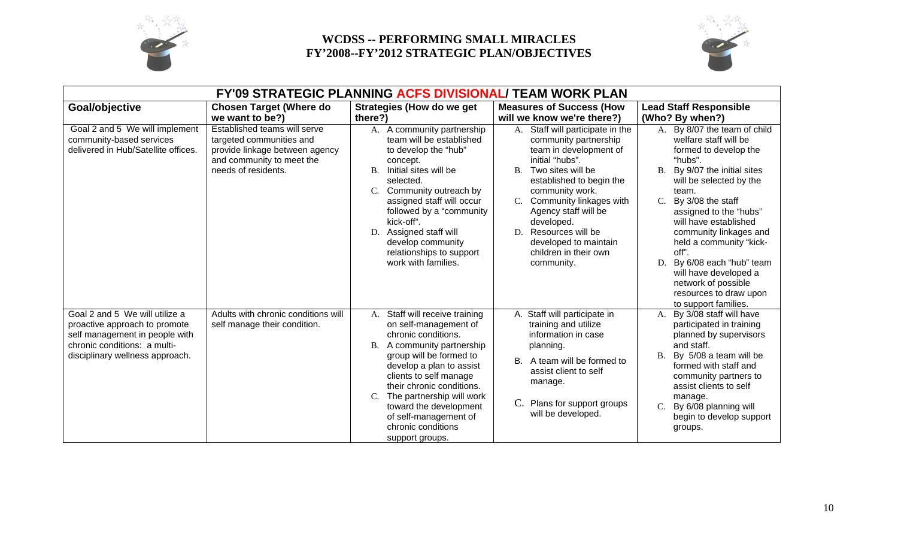



| FY'09 STRATEGIC PLANNING ACFS DIVISIONAL/ TEAM WORK PLAN                                                                                                             |                                                                                                                                                |                                                                                                                                                                                                                                                                                                                                                                 |                                                                                                                                                                                                                                                                                                                                              |                                                                                                                                                                                                                                                                                                                                                                                                                                                          |  |
|----------------------------------------------------------------------------------------------------------------------------------------------------------------------|------------------------------------------------------------------------------------------------------------------------------------------------|-----------------------------------------------------------------------------------------------------------------------------------------------------------------------------------------------------------------------------------------------------------------------------------------------------------------------------------------------------------------|----------------------------------------------------------------------------------------------------------------------------------------------------------------------------------------------------------------------------------------------------------------------------------------------------------------------------------------------|----------------------------------------------------------------------------------------------------------------------------------------------------------------------------------------------------------------------------------------------------------------------------------------------------------------------------------------------------------------------------------------------------------------------------------------------------------|--|
| Goal/objective                                                                                                                                                       | <b>Chosen Target (Where do</b>                                                                                                                 | <b>Strategies (How do we get</b>                                                                                                                                                                                                                                                                                                                                | <b>Measures of Success (How</b>                                                                                                                                                                                                                                                                                                              | <b>Lead Staff Responsible</b>                                                                                                                                                                                                                                                                                                                                                                                                                            |  |
|                                                                                                                                                                      | we want to be?)                                                                                                                                | there?)                                                                                                                                                                                                                                                                                                                                                         | will we know we're there?)                                                                                                                                                                                                                                                                                                                   | (Who? By when?)                                                                                                                                                                                                                                                                                                                                                                                                                                          |  |
| Goal 2 and 5 We will implement<br>community-based services<br>delivered in Hub/Satellite offices.                                                                    | Established teams will serve<br>targeted communities and<br>provide linkage between agency<br>and community to meet the<br>needs of residents. | A. A community partnership<br>team will be established<br>to develop the "hub"<br>concept.<br>Initial sites will be<br>В.<br>selected.<br>C. Community outreach by<br>assigned staff will occur<br>followed by a "community"<br>kick-off".<br>Assigned staff will<br>D.<br>develop community<br>relationships to support<br>work with families.                 | Staff will participate in the<br>А.<br>community partnership<br>team in development of<br>initial "hubs".<br>B. Two sites will be<br>established to begin the<br>community work.<br>Community linkages with<br>Agency staff will be<br>developed.<br>Resources will be<br>D.<br>developed to maintain<br>children in their own<br>community. | A. By 8/07 the team of child<br>welfare staff will be<br>formed to develop the<br>"hubs".<br>By 9/07 the initial sites<br>B.<br>will be selected by the<br>team.<br>By 3/08 the staff<br>$C_{\cdot}$<br>assigned to the "hubs"<br>will have established<br>community linkages and<br>held a community "kick-<br>off".<br>By 6/08 each "hub" team<br>D.<br>will have developed a<br>network of possible<br>resources to draw upon<br>to support families. |  |
| Goal 2 and 5 We will utilize a<br>proactive approach to promote<br>self management in people with<br>chronic conditions: a multi-<br>disciplinary wellness approach. | Adults with chronic conditions will<br>self manage their condition.                                                                            | Staff will receive training<br>A.<br>on self-management of<br>chronic conditions.<br>A community partnership<br>Β.<br>group will be formed to<br>develop a plan to assist<br>clients to self manage<br>their chronic conditions.<br>The partnership will work<br>C.<br>toward the development<br>of self-management of<br>chronic conditions<br>support groups. | A. Staff will participate in<br>training and utilize<br>information in case<br>planning.<br>A team will be formed to<br>В.<br>assist client to self<br>manage.<br>C. Plans for support groups<br>will be developed.                                                                                                                          | By 3/08 staff will have<br>A.<br>participated in training<br>planned by supervisors<br>and staff.<br>By 5/08 a team will be<br><b>B.</b><br>formed with staff and<br>community partners to<br>assist clients to self<br>manage.<br>By 6/08 planning will<br>$\mathcal{C}$ .<br>begin to develop support<br>groups.                                                                                                                                       |  |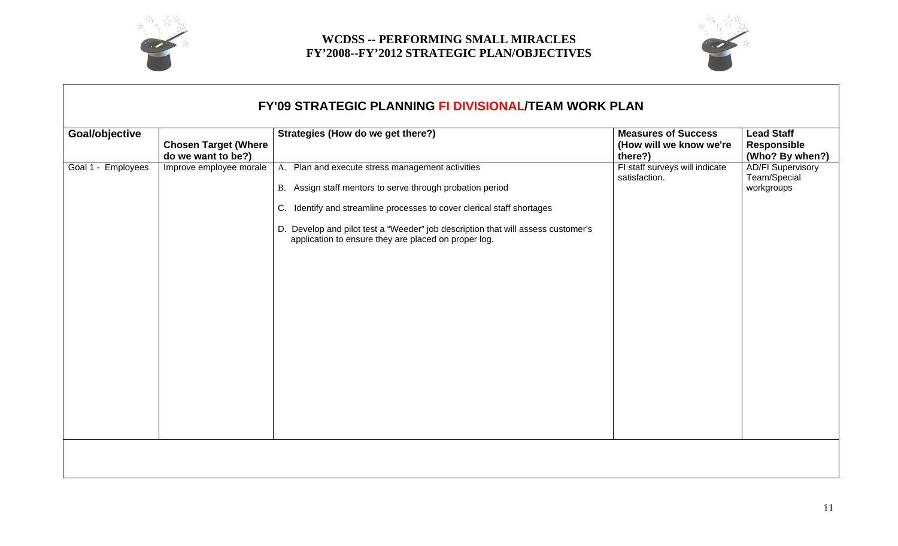



| Goal/objective     | <b>Chosen Target (Where</b><br>do we want to be?) | Strategies (How do we get there?)                                                                                                        | <b>Measures of Success</b><br>(How will we know we're<br>there?) | <b>Lead Staff</b><br><b>Responsible</b><br>(Who? By when?) |
|--------------------|---------------------------------------------------|------------------------------------------------------------------------------------------------------------------------------------------|------------------------------------------------------------------|------------------------------------------------------------|
| Goal 1 - Employees | Improve employee morale                           | A. Plan and execute stress management activities                                                                                         | FI staff surveys will indicate<br>satisfaction.                  | <b>AD/FI Supervisory</b><br>Team/Special                   |
|                    |                                                   | B. Assign staff mentors to serve through probation period                                                                                |                                                                  | workgroups                                                 |
|                    |                                                   | C. Identify and streamline processes to cover clerical staff shortages                                                                   |                                                                  |                                                            |
|                    |                                                   | D. Develop and pilot test a "Weeder" job description that will assess customer's<br>application to ensure they are placed on proper log. |                                                                  |                                                            |
|                    |                                                   |                                                                                                                                          |                                                                  |                                                            |
|                    |                                                   |                                                                                                                                          |                                                                  |                                                            |
|                    |                                                   |                                                                                                                                          |                                                                  |                                                            |
|                    |                                                   |                                                                                                                                          |                                                                  |                                                            |
|                    |                                                   |                                                                                                                                          |                                                                  |                                                            |
|                    |                                                   |                                                                                                                                          |                                                                  |                                                            |
|                    |                                                   |                                                                                                                                          |                                                                  |                                                            |
|                    |                                                   |                                                                                                                                          |                                                                  |                                                            |
|                    |                                                   |                                                                                                                                          |                                                                  |                                                            |
|                    |                                                   |                                                                                                                                          |                                                                  |                                                            |
|                    |                                                   |                                                                                                                                          |                                                                  |                                                            |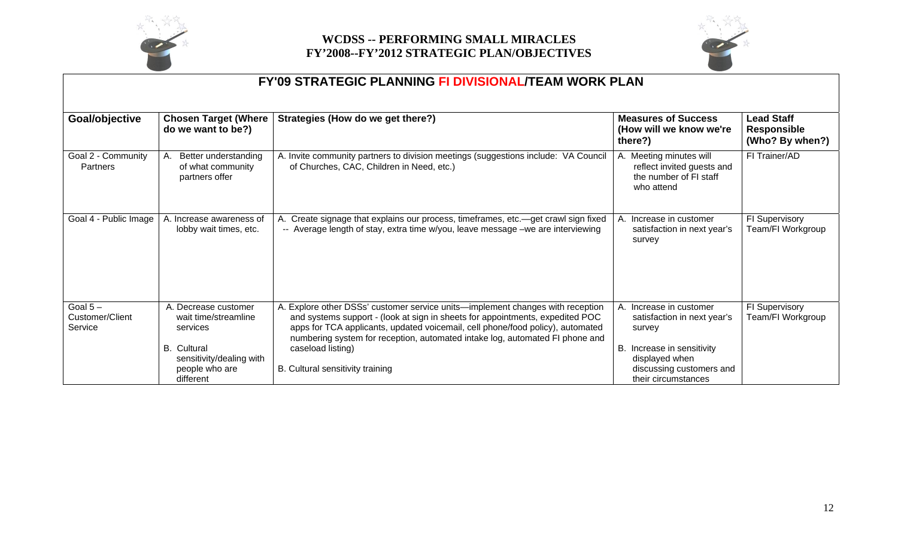



|                                         |                                                                                | <b>FY'09 STRATEGIC PLANNING FI DIVISIONAL/TEAM WORK PLAN</b>                                                                                                                                                                                                                                                                                           |                                                                                                |                                                            |
|-----------------------------------------|--------------------------------------------------------------------------------|--------------------------------------------------------------------------------------------------------------------------------------------------------------------------------------------------------------------------------------------------------------------------------------------------------------------------------------------------------|------------------------------------------------------------------------------------------------|------------------------------------------------------------|
| Goal/objective                          | <b>Chosen Target (Where</b><br>do we want to be?)                              | Strategies (How do we get there?)                                                                                                                                                                                                                                                                                                                      | <b>Measures of Success</b><br>(How will we know we're<br>there?)                               | <b>Lead Staff</b><br><b>Responsible</b><br>(Who? By when?) |
| Goal 2 - Community<br>Partners          | Better understanding<br>А.<br>of what community<br>partners offer              | A. Invite community partners to division meetings (suggestions include: VA Council<br>of Churches, CAC, Children in Need, etc.)                                                                                                                                                                                                                        | A. Meeting minutes will<br>reflect invited guests and<br>the number of FI staff<br>who attend  | FI Trainer/AD                                              |
| Goal 4 - Public Image                   | A. Increase awareness of<br>lobby wait times, etc.                             | A. Create signage that explains our process, timeframes, etc.—get crawl sign fixed<br>-- Average length of stay, extra time w/you, leave message -we are interviewing                                                                                                                                                                                  | A. Increase in customer<br>satisfaction in next year's<br>survey                               | FI Supervisory<br>Team/FI Workgroup                        |
| Goal $5-$<br>Customer/Client<br>Service | A. Decrease customer<br>wait time/streamline<br>services<br><b>B.</b> Cultural | A. Explore other DSSs' customer service units—implement changes with reception<br>and systems support - (look at sign in sheets for appointments, expedited POC<br>apps for TCA applicants, updated voicemail, cell phone/food policy), automated<br>numbering system for reception, automated intake log, automated FI phone and<br>caseload listing) | A. Increase in customer<br>satisfaction in next year's<br>survey<br>B. Increase in sensitivity | FI Supervisory<br>Team/FI Workgroup                        |
|                                         | sensitivity/dealing with<br>people who are<br>different                        | B. Cultural sensitivity training                                                                                                                                                                                                                                                                                                                       | displayed when<br>discussing customers and<br>their circumstances                              |                                                            |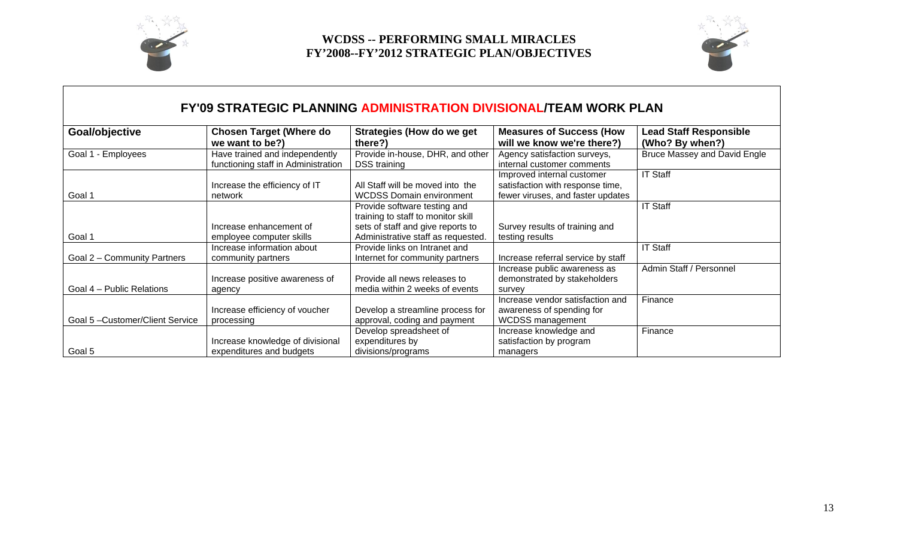



## **FY'09 STRATEGIC PLANNING ADMINISTRATION DIVISIONAL/TEAM WORK PLAN**

| Goal/objective                        | <b>Chosen Target (Where do</b><br>we want to be?)                            | <b>Strategies (How do we get</b><br>there?)                                                             | <b>Measures of Success (How</b><br>will we know we're there?)                                       | <b>Lead Staff Responsible</b><br>(Who? By when?) |
|---------------------------------------|------------------------------------------------------------------------------|---------------------------------------------------------------------------------------------------------|-----------------------------------------------------------------------------------------------------|--------------------------------------------------|
| Goal 1 - Employees                    | Have trained and independently<br>functioning staff in Administration        | Provide in-house, DHR, and other<br><b>DSS</b> training                                                 | Agency satisfaction surveys,<br>internal customer comments                                          | Bruce Massey and David Engle                     |
| Goal 1                                | Increase the efficiency of IT<br>network                                     | All Staff will be moved into the<br><b>WCDSS Domain environment</b>                                     | Improved internal customer<br>satisfaction with response time,<br>fewer viruses, and faster updates | <b>IT Staff</b>                                  |
|                                       | Increase enhancement of                                                      | Provide software testing and<br>training to staff to monitor skill<br>sets of staff and give reports to | Survey results of training and                                                                      | <b>IT Staff</b>                                  |
| Goal 1<br>Goal 2 - Community Partners | employee computer skills<br>Increase information about<br>community partners | Administrative staff as requested<br>Provide links on Intranet and<br>Internet for community partners   | testing results<br>Increase referral service by staff                                               | <b>IT Staff</b>                                  |
| Goal 4 - Public Relations             | Increase positive awareness of<br>agency                                     | Provide all news releases to<br>media within 2 weeks of events                                          | Increase public awareness as<br>demonstrated by stakeholders<br>survey                              | Admin Staff / Personnel                          |
| Goal 5-Customer/Client Service        | Increase efficiency of voucher<br>processing                                 | Develop a streamline process for<br>approval, coding and payment                                        | Increase vendor satisfaction and<br>awareness of spending for<br><b>WCDSS</b> management            | Finance                                          |
| Goal 5                                | Increase knowledge of divisional<br>expenditures and budgets                 | Develop spreadsheet of<br>expenditures by<br>divisions/programs                                         | Increase knowledge and<br>satisfaction by program<br>managers                                       | Finance                                          |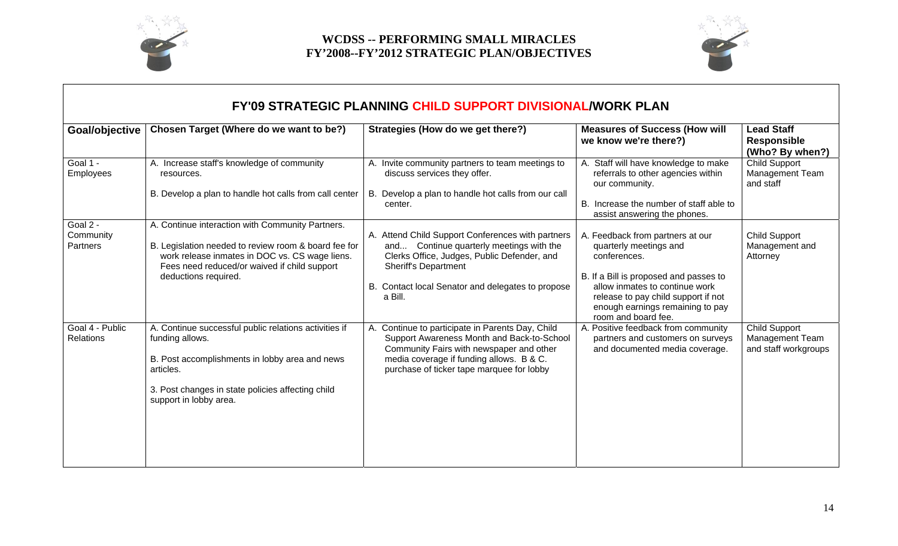



| <b>FY'09 STRATEGIC PLANNING CHILD SUPPORT DIVISIONAL/WORK PLAN</b> |                                                                                                                                                                                                                                    |                                                                                                                                                                                                                                             |                                                                                                                                                                                                                                                          |                                                            |  |  |
|--------------------------------------------------------------------|------------------------------------------------------------------------------------------------------------------------------------------------------------------------------------------------------------------------------------|---------------------------------------------------------------------------------------------------------------------------------------------------------------------------------------------------------------------------------------------|----------------------------------------------------------------------------------------------------------------------------------------------------------------------------------------------------------------------------------------------------------|------------------------------------------------------------|--|--|
| Goal/objective                                                     | Chosen Target (Where do we want to be?)                                                                                                                                                                                            | Strategies (How do we get there?)                                                                                                                                                                                                           | <b>Measures of Success (How will</b><br>we know we're there?)                                                                                                                                                                                            | <b>Lead Staff</b><br><b>Responsible</b><br>(Who? By when?) |  |  |
| Goal 1 -<br>Employees                                              | A. Increase staff's knowledge of community<br>resources.                                                                                                                                                                           | A. Invite community partners to team meetings to<br>discuss services they offer.                                                                                                                                                            | A. Staff will have knowledge to make<br>referrals to other agencies within<br>our community.                                                                                                                                                             | <b>Child Support</b><br>Management Team<br>and staff       |  |  |
|                                                                    | B. Develop a plan to handle hot calls from call center                                                                                                                                                                             | B. Develop a plan to handle hot calls from our call<br>center.                                                                                                                                                                              | B. Increase the number of staff able to<br>assist answering the phones.                                                                                                                                                                                  |                                                            |  |  |
| Goal 2 -<br>Community<br>Partners                                  | A. Continue interaction with Community Partners.<br>B. Legislation needed to review room & board fee for<br>work release inmates in DOC vs. CS wage liens.<br>Fees need reduced/or waived if child support<br>deductions required. | A. Attend Child Support Conferences with partners<br>and Continue quarterly meetings with the<br>Clerks Office, Judges, Public Defender, and<br><b>Sheriff's Department</b><br>B. Contact local Senator and delegates to propose<br>a Bill. | A. Feedback from partners at our<br>quarterly meetings and<br>conferences.<br>B. If a Bill is proposed and passes to<br>allow inmates to continue work<br>release to pay child support if not<br>enough earnings remaining to pay<br>room and board fee. | <b>Child Support</b><br>Management and<br>Attorney         |  |  |
| Goal 4 - Public<br>Relations                                       | A. Continue successful public relations activities if<br>funding allows.<br>B. Post accomplishments in lobby area and news<br>articles.<br>3. Post changes in state policies affecting child<br>support in lobby area.             | A. Continue to participate in Parents Day, Child<br>Support Awareness Month and Back-to-School<br>Community Fairs with newspaper and other<br>media coverage if funding allows. B & C.<br>purchase of ticker tape marquee for lobby         | A. Positive feedback from community<br>partners and customers on surveys<br>and documented media coverage.                                                                                                                                               | Child Support<br>Management Team<br>and staff workgroups   |  |  |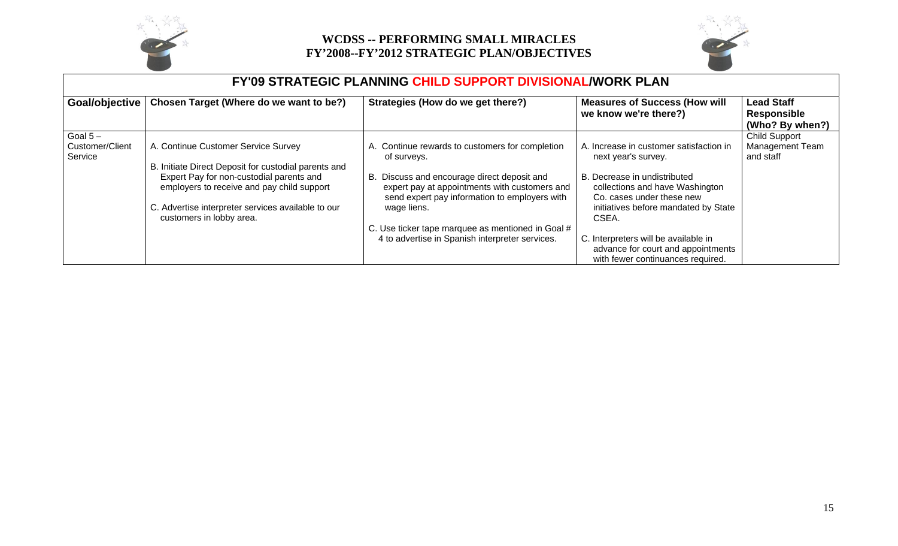



| <b>FY'09 STRATEGIC PLANNING CHILD SUPPORT DIVISIONAL/WORK PLAN</b> |                                                                                             |                                                                                                                                               |                                                                                                                 |                                                            |  |
|--------------------------------------------------------------------|---------------------------------------------------------------------------------------------|-----------------------------------------------------------------------------------------------------------------------------------------------|-----------------------------------------------------------------------------------------------------------------|------------------------------------------------------------|--|
| Goal/objective                                                     | Chosen Target (Where do we want to be?)                                                     | Strategies (How do we get there?)                                                                                                             | <b>Measures of Success (How will</b><br>we know we're there?)                                                   | <b>Lead Staff</b><br><b>Responsible</b><br>(Who? By when?) |  |
| Goal $5-$                                                          |                                                                                             |                                                                                                                                               |                                                                                                                 | <b>Child Support</b>                                       |  |
| Customer/Client<br>Service                                         | A. Continue Customer Service Survey<br>B. Initiate Direct Deposit for custodial parents and | A. Continue rewards to customers for completion<br>of surveys.                                                                                | A. Increase in customer satisfaction in<br>next year's survey.                                                  | <b>Management Team</b><br>and staff                        |  |
|                                                                    | Expert Pay for non-custodial parents and<br>employers to receive and pay child support      | B. Discuss and encourage direct deposit and<br>expert pay at appointments with customers and<br>send expert pay information to employers with | B. Decrease in undistributed<br>collections and have Washington<br>Co. cases under these new                    |                                                            |  |
|                                                                    | C. Advertise interpreter services available to our<br>customers in lobby area.              | wage liens.                                                                                                                                   | initiatives before mandated by State<br>CSEA.                                                                   |                                                            |  |
|                                                                    |                                                                                             | C. Use ticker tape marquee as mentioned in Goal #                                                                                             |                                                                                                                 |                                                            |  |
|                                                                    |                                                                                             | 4 to advertise in Spanish interpreter services.                                                                                               | C. Interpreters will be available in<br>advance for court and appointments<br>with fewer continuances required. |                                                            |  |

#### 15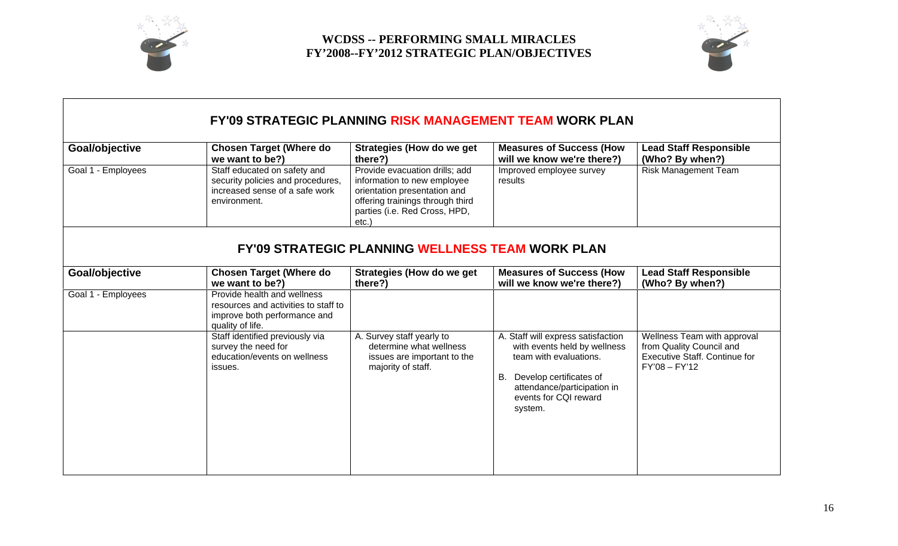



# **FY'09 STRATEGIC PLANNING RISK MANAGEMENT TEAM WORK PLAN**

| Goal/objective     | <b>Chosen Target (Where do</b><br>we want to be?)                                                                       | <b>Strategies (How do we get</b><br>there?)                                                                                                                                    | <b>Measures of Success (How</b><br>will we know we're there?)                                                                                                                                    | <b>Lead Staff Responsible</b><br>(Who? By when?)                                                                   |
|--------------------|-------------------------------------------------------------------------------------------------------------------------|--------------------------------------------------------------------------------------------------------------------------------------------------------------------------------|--------------------------------------------------------------------------------------------------------------------------------------------------------------------------------------------------|--------------------------------------------------------------------------------------------------------------------|
| Goal 1 - Employees | Staff educated on safety and<br>security policies and procedures,<br>increased sense of a safe work<br>environment.     | Provide evacuation drills; add<br>information to new employee<br>orientation presentation and<br>offering trainings through third<br>parties (i.e. Red Cross, HPD,<br>$etc.$ ) | Improved employee survey<br>results                                                                                                                                                              | <b>Risk Management Team</b>                                                                                        |
|                    |                                                                                                                         | <b>FY'09 STRATEGIC PLANNING WELLNESS TEAM WORK PLAN</b>                                                                                                                        |                                                                                                                                                                                                  |                                                                                                                    |
| Goal/objective     | <b>Chosen Target (Where do</b><br>we want to be?)                                                                       | <b>Strategies (How do we get</b><br>there?)                                                                                                                                    | <b>Measures of Success (How</b><br>will we know we're there?)                                                                                                                                    | <b>Lead Staff Responsible</b><br>(Who? By when?)                                                                   |
| Goal 1 - Employees | Provide health and wellness<br>resources and activities to staff to<br>improve both performance and<br>quality of life. |                                                                                                                                                                                |                                                                                                                                                                                                  |                                                                                                                    |
|                    | Staff identified previously via<br>survey the need for<br>education/events on wellness<br>issues.                       | A. Survey staff yearly to<br>determine what wellness<br>issues are important to the<br>majority of staff.                                                                      | A. Staff will express satisfaction<br>with events held by wellness<br>team with evaluations.<br>Develop certificates of<br>В.<br>attendance/participation in<br>events for CQI reward<br>system. | Wellness Team with approval<br>from Quality Council and<br><b>Executive Staff. Continue for</b><br>$FY'08 - FY'12$ |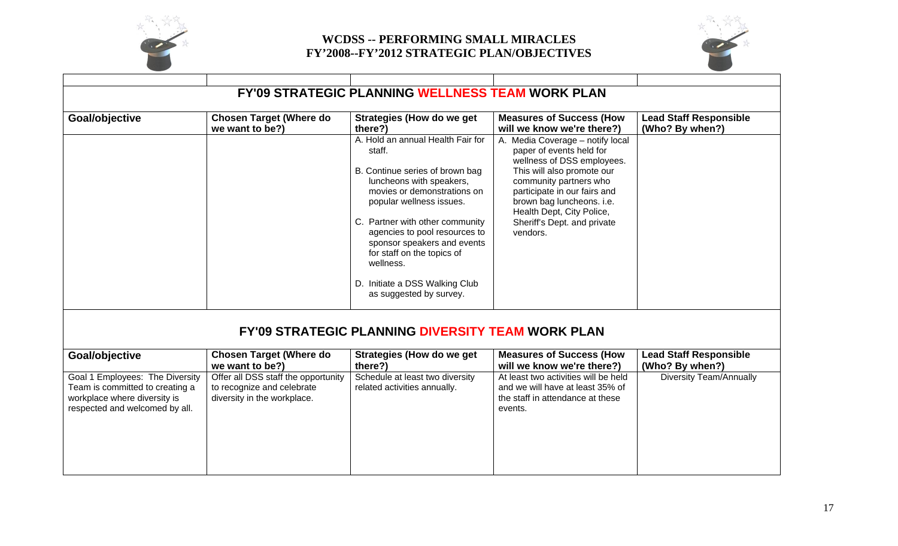



| <b>FY'09 STRATEGIC PLANNING WELLNESS TEAM WORK PLAN</b>                                                                              |                                                                                                  |                                                                                                                                                                                                                                                                                                                                                                                  |                                                                                                                                                                                                                                                                                         |                                                  |  |
|--------------------------------------------------------------------------------------------------------------------------------------|--------------------------------------------------------------------------------------------------|----------------------------------------------------------------------------------------------------------------------------------------------------------------------------------------------------------------------------------------------------------------------------------------------------------------------------------------------------------------------------------|-----------------------------------------------------------------------------------------------------------------------------------------------------------------------------------------------------------------------------------------------------------------------------------------|--------------------------------------------------|--|
| Goal/objective                                                                                                                       | <b>Chosen Target (Where do</b><br>we want to be?)                                                | <b>Strategies (How do we get</b><br>there?)                                                                                                                                                                                                                                                                                                                                      | <b>Measures of Success (How</b><br>will we know we're there?)                                                                                                                                                                                                                           | <b>Lead Staff Responsible</b><br>(Who? By when?) |  |
|                                                                                                                                      |                                                                                                  | A. Hold an annual Health Fair for<br>staff.<br>B. Continue series of brown bag<br>luncheons with speakers,<br>movies or demonstrations on<br>popular wellness issues.<br>C. Partner with other community<br>agencies to pool resources to<br>sponsor speakers and events<br>for staff on the topics of<br>wellness.<br>D. Initiate a DSS Walking Club<br>as suggested by survey. | A. Media Coverage - notify local<br>paper of events held for<br>wellness of DSS employees.<br>This will also promote our<br>community partners who<br>participate in our fairs and<br>brown bag luncheons. i.e.<br>Health Dept, City Police,<br>Sheriff's Dept. and private<br>vendors. |                                                  |  |
|                                                                                                                                      |                                                                                                  | <b>FY'09 STRATEGIC PLANNING DIVERSITY TEAM WORK PLAN</b>                                                                                                                                                                                                                                                                                                                         |                                                                                                                                                                                                                                                                                         |                                                  |  |
| Goal/objective                                                                                                                       | <b>Chosen Target (Where do</b><br>we want to be?)                                                | <b>Strategies (How do we get</b><br>there?)                                                                                                                                                                                                                                                                                                                                      | <b>Measures of Success (How</b><br>will we know we're there?)                                                                                                                                                                                                                           | <b>Lead Staff Responsible</b><br>(Who? By when?) |  |
| Goal 1 Employees: The Diversity<br>Team is committed to creating a<br>workplace where diversity is<br>respected and welcomed by all. | Offer all DSS staff the opportunity<br>to recognize and celebrate<br>diversity in the workplace. | Schedule at least two diversity<br>related activities annually.                                                                                                                                                                                                                                                                                                                  | At least two activities will be held<br>and we will have at least 35% of<br>the staff in attendance at these<br>events.                                                                                                                                                                 | <b>Diversity Team/Annually</b>                   |  |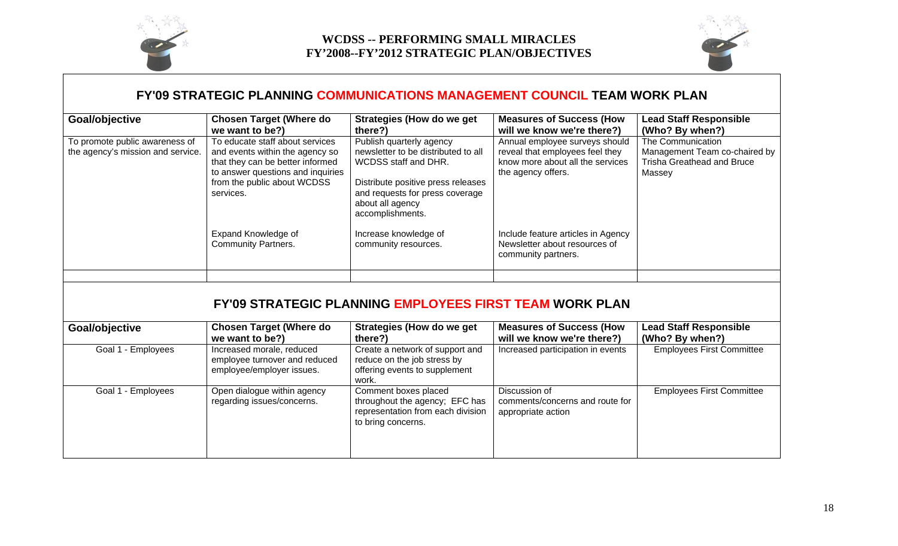



### **FY'09 STRATEGIC PLANNING COMMUNICATIONS MANAGEMENT COUNCIL TEAM WORK PLAN**

| Goal/objective                                                      | <b>Chosen Target (Where do</b><br>we want to be?)                                                                                                                                       | Strategies (How do we get<br>there?)                                                                                                                                                                     | <b>Measures of Success (How</b><br>will we know we're there?)                                                               | <b>Lead Staff Responsible</b><br>(Who? By when?)                                           |
|---------------------------------------------------------------------|-----------------------------------------------------------------------------------------------------------------------------------------------------------------------------------------|----------------------------------------------------------------------------------------------------------------------------------------------------------------------------------------------------------|-----------------------------------------------------------------------------------------------------------------------------|--------------------------------------------------------------------------------------------|
| To promote public awareness of<br>the agency's mission and service. | To educate staff about services<br>and events within the agency so<br>that they can be better informed<br>to answer questions and inquiries<br>from the public about WCDSS<br>services. | Publish quarterly agency<br>newsletter to be distributed to all<br>WCDSS staff and DHR.<br>Distribute positive press releases<br>and requests for press coverage<br>about all agency<br>accomplishments. | Annual employee surveys should<br>reveal that employees feel they<br>know more about all the services<br>the agency offers. | The Communication<br>Management Team co-chaired by<br>Trisha Greathead and Bruce<br>Massey |
|                                                                     | Expand Knowledge of<br><b>Community Partners.</b>                                                                                                                                       | Increase knowledge of<br>community resources.                                                                                                                                                            | Include feature articles in Agency<br>Newsletter about resources of<br>community partners.                                  |                                                                                            |
|                                                                     |                                                                                                                                                                                         |                                                                                                                                                                                                          |                                                                                                                             |                                                                                            |

## **FY'09 STRATEGIC PLANNING EMPLOYEES FIRST TEAM WORK PLAN**

| Goal/objective     | <b>Chosen Target (Where do</b><br>we want to be?)                                       | Strategies (How do we get<br>there?)                                                                              | <b>Measures of Success (How</b><br>will we know we're there?)          | <b>Lead Staff Responsible</b><br>(Who? By when?) |
|--------------------|-----------------------------------------------------------------------------------------|-------------------------------------------------------------------------------------------------------------------|------------------------------------------------------------------------|--------------------------------------------------|
| Goal 1 - Employees | Increased morale, reduced<br>employee turnover and reduced<br>employee/employer issues. | Create a network of support and<br>reduce on the job stress by<br>offering events to supplement<br>work.          | Increased participation in events                                      | <b>Employees First Committee</b>                 |
| Goal 1 - Employees | Open dialogue within agency<br>regarding issues/concerns.                               | Comment boxes placed<br>throughout the agency; EFC has<br>representation from each division<br>to bring concerns. | Discussion of<br>comments/concerns and route for<br>appropriate action | <b>Employees First Committee</b>                 |